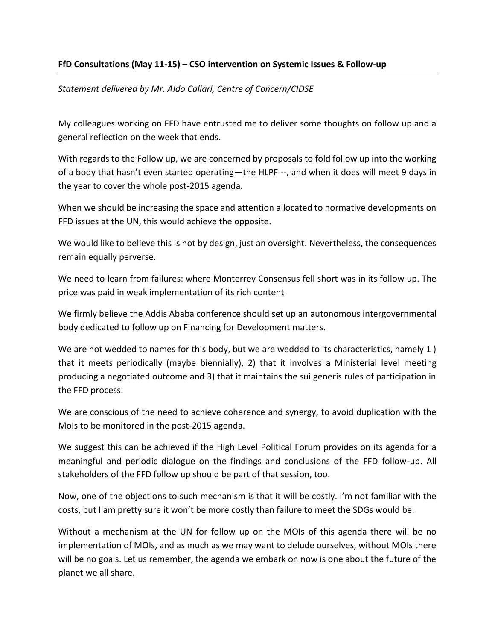## **FfD Consultations (May 11-15) – CSO intervention on Systemic Issues & Follow-up**

## *Statement delivered by Mr. Aldo Caliari, Centre of Concern/CIDSE*

My colleagues working on FFD have entrusted me to deliver some thoughts on follow up and a general reflection on the week that ends.

With regards to the Follow up, we are concerned by proposals to fold follow up into the working of a body that hasn't even started operating—the HLPF --, and when it does will meet 9 days in the year to cover the whole post-2015 agenda.

When we should be increasing the space and attention allocated to normative developments on FFD issues at the UN, this would achieve the opposite.

We would like to believe this is not by design, just an oversight. Nevertheless, the consequences remain equally perverse.

We need to learn from failures: where Monterrey Consensus fell short was in its follow up. The price was paid in weak implementation of its rich content

We firmly believe the Addis Ababa conference should set up an autonomous intergovernmental body dedicated to follow up on Financing for Development matters.

We are not wedded to names for this body, but we are wedded to its characteristics, namely 1) that it meets periodically (maybe biennially), 2) that it involves a Ministerial level meeting producing a negotiated outcome and 3) that it maintains the sui generis rules of participation in the FFD process.

We are conscious of the need to achieve coherence and synergy, to avoid duplication with the MoIs to be monitored in the post-2015 agenda.

We suggest this can be achieved if the High Level Political Forum provides on its agenda for a meaningful and periodic dialogue on the findings and conclusions of the FFD follow-up. All stakeholders of the FFD follow up should be part of that session, too.

Now, one of the objections to such mechanism is that it will be costly. I'm not familiar with the costs, but I am pretty sure it won't be more costly than failure to meet the SDGs would be.

Without a mechanism at the UN for follow up on the MOIs of this agenda there will be no implementation of MOIs, and as much as we may want to delude ourselves, without MOIs there will be no goals. Let us remember, the agenda we embark on now is one about the future of the planet we all share.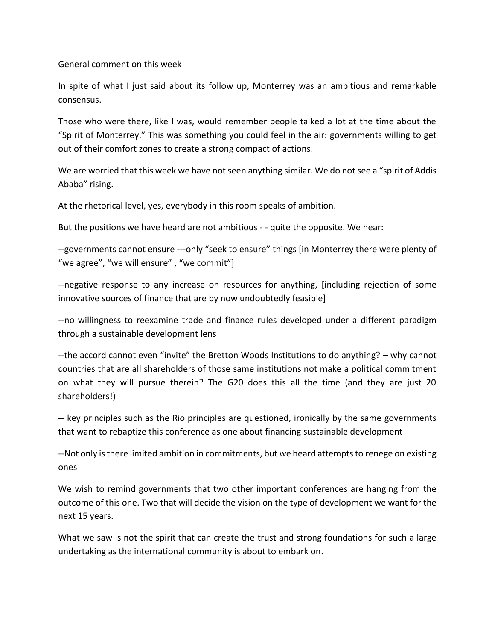General comment on this week

In spite of what I just said about its follow up, Monterrey was an ambitious and remarkable consensus.

Those who were there, like I was, would remember people talked a lot at the time about the "Spirit of Monterrey." This was something you could feel in the air: governments willing to get out of their comfort zones to create a strong compact of actions.

We are worried that this week we have not seen anything similar. We do not see a "spirit of Addis Ababa" rising.

At the rhetorical level, yes, everybody in this room speaks of ambition.

But the positions we have heard are not ambitious - - quite the opposite. We hear:

--governments cannot ensure ---only "seek to ensure" things [in Monterrey there were plenty of "we agree", "we will ensure", "we commit"]

--negative response to any increase on resources for anything, [including rejection of some innovative sources of finance that are by now undoubtedly feasible]

--no willingness to reexamine trade and finance rules developed under a different paradigm through a sustainable development lens

--the accord cannot even "invite" the Bretton Woods Institutions to do anything? – why cannot countries that are all shareholders of those same institutions not make a political commitment on what they will pursue therein? The G20 does this all the time (and they are just 20 shareholders!)

-- key principles such as the Rio principles are questioned, ironically by the same governments that want to rebaptize this conference as one about financing sustainable development

--Not only is there limited ambition in commitments, but we heard attempts to renege on existing ones

We wish to remind governments that two other important conferences are hanging from the outcome of this one. Two that will decide the vision on the type of development we want for the next 15 years.

What we saw is not the spirit that can create the trust and strong foundations for such a large undertaking as the international community is about to embark on.